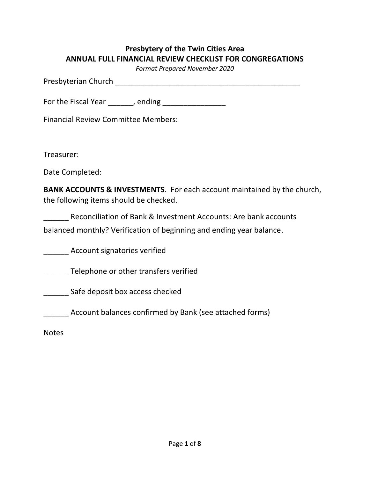# **Presbytery of the Twin Cities Area ANNUAL FULL FINANCIAL REVIEW CHECKLIST FOR CONGREGATIONS**

*Format Prepared November 2020*

Presbyterian Church \_\_\_\_\_\_\_\_\_\_\_\_\_\_\_\_\_\_\_\_\_\_\_\_\_\_\_\_\_\_\_\_\_\_\_\_\_\_\_\_\_\_\_\_

For the Fiscal Year \_\_\_\_\_, ending \_\_\_\_\_\_\_\_\_\_\_\_\_\_

Financial Review Committee Members:

Treasurer:

Date Completed:

**BANK ACCOUNTS & INVESTMENTS**. For each account maintained by the church, the following items should be checked.

Reconciliation of Bank & Investment Accounts: Are bank accounts balanced monthly? Verification of beginning and ending year balance.

**Example 23 Account signatories verified** 

**\_\_\_\_\_\_\_** Telephone or other transfers verified

\_\_\_\_\_\_ Safe deposit box access checked

\_\_\_\_\_\_ Account balances confirmed by Bank (see attached forms)

Notes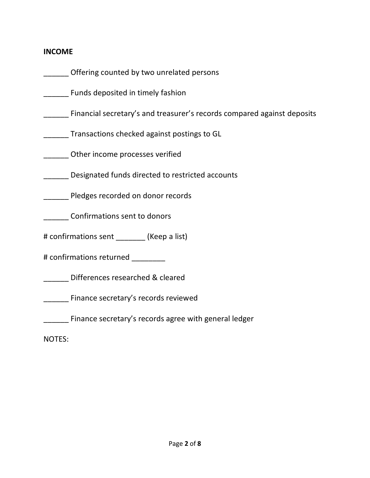#### **INCOME**

Offering counted by two unrelated persons

\_\_\_\_\_\_ Funds deposited in timely fashion

\_\_\_\_\_\_ Financial secretary's and treasurer's records compared against deposits

\_\_\_\_\_\_ Transactions checked against postings to GL

\_\_\_\_\_\_ Other income processes verified

\_\_\_\_\_\_ Designated funds directed to restricted accounts

\_\_\_\_\_\_ Pledges recorded on donor records

\_\_\_\_\_\_ Confirmations sent to donors

# confirmations sent (Keep a list)

# confirmations returned \_\_\_\_\_\_\_\_

\_\_\_\_\_\_ Differences researched & cleared

\_\_\_\_\_\_ Finance secretary's records reviewed

Finance secretary's records agree with general ledger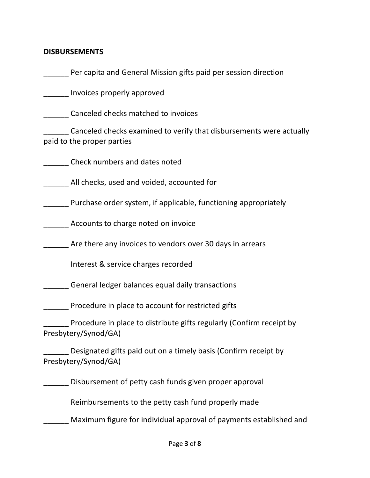### **DISBURSEMENTS**

\_\_\_\_\_\_ Per capita and General Mission gifts paid per session direction

\_\_\_\_\_\_ Invoices properly approved

\_\_\_\_\_\_ Canceled checks matched to invoices

\_\_\_\_\_\_ Canceled checks examined to verify that disbursements were actually paid to the proper parties

\_\_\_\_\_\_ Check numbers and dates noted

\_\_\_\_\_\_ All checks, used and voided, accounted for

\_\_\_\_\_\_ Purchase order system, if applicable, functioning appropriately

Accounts to charge noted on invoice

Are there any invoices to vendors over 30 days in arrears

\_\_\_\_\_\_ Interest & service charges recorded

\_\_\_\_\_\_ General ledger balances equal daily transactions

**Procedure in place to account for restricted gifts** 

\_\_\_\_\_\_ Procedure in place to distribute gifts regularly (Confirm receipt by Presbytery/Synod/GA)

Designated gifts paid out on a timely basis (Confirm receipt by Presbytery/Synod/GA)

\_\_\_\_\_\_ Disbursement of petty cash funds given proper approval

\_\_\_\_\_\_ Reimbursements to the petty cash fund properly made

\_\_\_\_\_\_ Maximum figure for individual approval of payments established and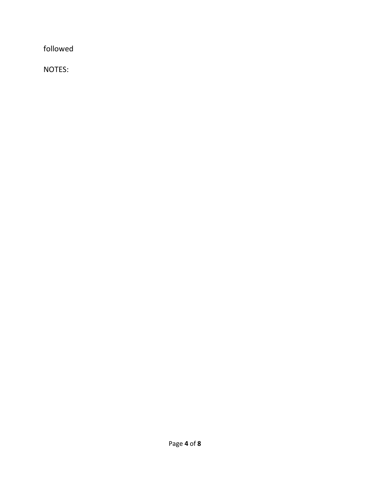followed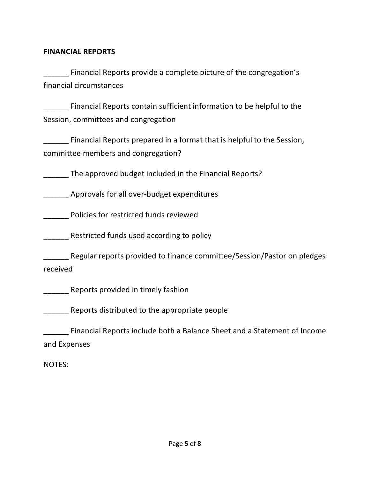#### **FINANCIAL REPORTS**

\_\_\_\_\_\_ Financial Reports provide a complete picture of the congregation's financial circumstances

\_\_\_\_\_\_ Financial Reports contain sufficient information to be helpful to the Session, committees and congregation

\_\_\_\_\_\_ Financial Reports prepared in a format that is helpful to the Session, committee members and congregation?

The approved budget included in the Financial Reports?

\_\_\_\_\_\_ Approvals for all over-budget expenditures

\_\_\_\_\_\_ Policies for restricted funds reviewed

Restricted funds used according to policy

\_\_\_\_\_\_ Regular reports provided to finance committee/Session/Pastor on pledges received

\_\_\_\_\_\_ Reports provided in timely fashion

\_\_\_\_\_\_ Reports distributed to the appropriate people

\_\_\_\_\_\_ Financial Reports include both a Balance Sheet and a Statement of Income and Expenses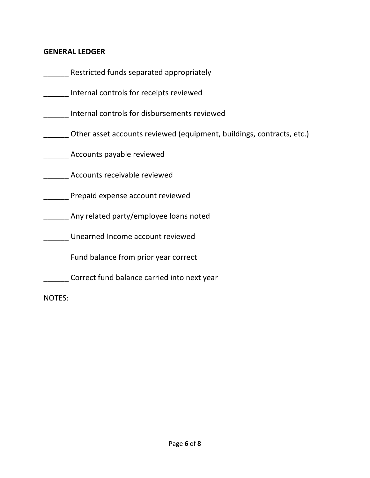### **GENERAL LEDGER**

| Restricted funds separated appropriately                              |
|-----------------------------------------------------------------------|
| Internal controls for receipts reviewed                               |
| Internal controls for disbursements reviewed                          |
| Other asset accounts reviewed (equipment, buildings, contracts, etc.) |
| Accounts payable reviewed                                             |
| Accounts receivable reviewed                                          |
| Prepaid expense account reviewed                                      |
| Any related party/employee loans noted                                |
| Unearned Income account reviewed                                      |
| Fund balance from prior year correct                                  |
| Correct fund balance carried into next year                           |
| <b>NOTES:</b>                                                         |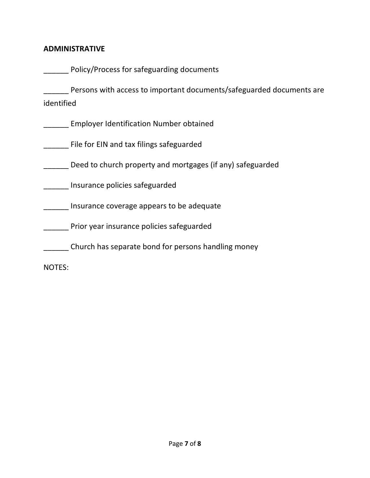### **ADMINISTRATIVE**

|            | Policy/Process for safeguarding documents                            |
|------------|----------------------------------------------------------------------|
| identified | Persons with access to important documents/safeguarded documents are |
|            | <b>Employer Identification Number obtained</b>                       |
|            | File for EIN and tax filings safeguarded                             |
|            | Deed to church property and mortgages (if any) safeguarded           |
|            | Insurance policies safeguarded                                       |
|            | Insurance coverage appears to be adequate                            |
|            | Prior year insurance policies safeguarded                            |
|            | Church has separate bond for persons handling money                  |